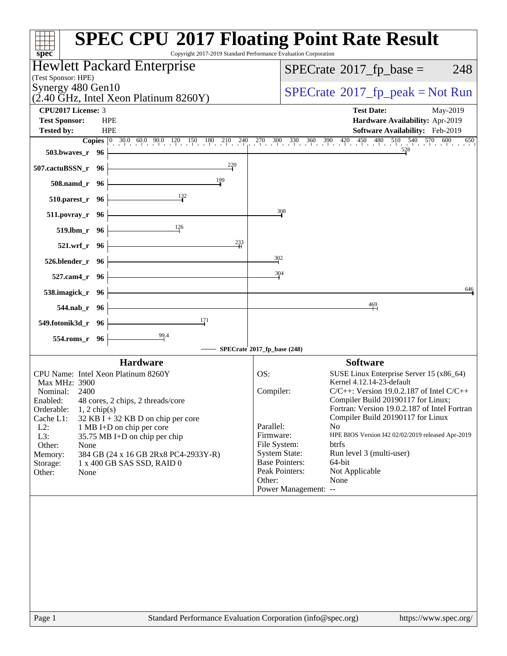| $spec^*$                                                                      | <b>SPEC CPU®2017 Floating Point Rate Result</b><br>Copyright 2017-2019 Standard Performance Evaluation Corporation                                                                |
|-------------------------------------------------------------------------------|-----------------------------------------------------------------------------------------------------------------------------------------------------------------------------------|
| Hewlett Packard Enterprise                                                    | $SPECrate^{\circ}2017$ _fp_base =<br>248                                                                                                                                          |
| (Test Sponsor: HPE)<br>Synergy 480 Gen10                                      |                                                                                                                                                                                   |
| $(2.40 \text{ GHz}, \text{Intel Xeon Platinum } 8260 \text{Y})$               | $SPECrate^{\circ}2017rfp peak = Not Run$                                                                                                                                          |
| CPU2017 License: 3                                                            | <b>Test Date:</b><br>May-2019                                                                                                                                                     |
| <b>Test Sponsor:</b><br><b>HPE</b><br><b>HPE</b>                              | Hardware Availability: Apr-2019<br>Software Availability: Feb-2019                                                                                                                |
| <b>Tested by:</b>                                                             | <b>Copies</b> $\begin{bmatrix} 0 & 30.0 & 60.0 & 90.0 & 120 & 150 & 180 & 210 & 240 & 270 & 300 & 330 & 360 & 390 & 420 & 450 & 480 & 510 & 540 & 570 & 600 \end{bmatrix}$<br>650 |
| <b>503.bwaves_r</b> 96                                                        |                                                                                                                                                                                   |
| 220<br>507.cactuBSSN_r 96                                                     |                                                                                                                                                                                   |
| 199<br>508.namd_r 96                                                          |                                                                                                                                                                                   |
| $\frac{132}{2}$<br>510.parest_r 96                                            |                                                                                                                                                                                   |
| 511.povray_r 96                                                               | 308                                                                                                                                                                               |
| 126<br>519.lbm_r 96                                                           |                                                                                                                                                                                   |
| 233<br>521.wrf_r 96                                                           |                                                                                                                                                                                   |
| $526.blender_r$ 96                                                            | $\frac{302}{2}$                                                                                                                                                                   |
| 527.cam4_r 96                                                                 | 304                                                                                                                                                                               |
| 538.imagick_r 96                                                              | 646                                                                                                                                                                               |
| 544.nab_r 96                                                                  | $\frac{469}{1}$                                                                                                                                                                   |
| 171<br>549.fotonik3d_r 96                                                     |                                                                                                                                                                                   |
| 554.roms_r 96                                                                 |                                                                                                                                                                                   |
|                                                                               | SPECrate®2017_fp_base (248)                                                                                                                                                       |
| <b>Hardware</b><br>CPU Name: Intel Xeon Platinum 8260Y                        | <b>Software</b><br>OS:<br>SUSE Linux Enterprise Server 15 (x86_64)                                                                                                                |
| Max MHz: 3900                                                                 | Kernel 4.12.14-23-default                                                                                                                                                         |
| Nominal: 2400                                                                 | Compiler:<br>$C/C++$ : Version 19.0.2.187 of Intel $C/C++$                                                                                                                        |
| Enabled: 48 cores, 2 chips, 2 threads/core<br>Orderable:<br>$1, 2$ chip(s)    | Compiler Build 20190117 for Linux;<br>Fortran: Version 19.0.2.187 of Intel Fortran                                                                                                |
| Cache L1:<br>$32$ KB I + 32 KB D on chip per core                             | Compiler Build 20190117 for Linux                                                                                                                                                 |
| $L2$ :<br>1 MB I+D on chip per core                                           | Parallel:<br>N <sub>o</sub>                                                                                                                                                       |
| L3:<br>35.75 MB I+D on chip per chip                                          | HPE BIOS Version I42 02/02/2019 released Apr-2019<br>Firmware:                                                                                                                    |
| Other:<br>None                                                                | File System:<br>btrfs                                                                                                                                                             |
| 384 GB (24 x 16 GB 2Rx8 PC4-2933Y-R)<br>Memory:<br>1 x 400 GB SAS SSD, RAID 0 | <b>System State:</b><br>Run level 3 (multi-user)<br><b>Base Pointers:</b><br>64-bit                                                                                               |
| Storage:<br>Other:<br>None                                                    | Peak Pointers:<br>Not Applicable                                                                                                                                                  |
|                                                                               | Other:<br>None                                                                                                                                                                    |
|                                                                               | Power Management: --                                                                                                                                                              |
|                                                                               |                                                                                                                                                                                   |
|                                                                               |                                                                                                                                                                                   |
|                                                                               |                                                                                                                                                                                   |
|                                                                               |                                                                                                                                                                                   |
|                                                                               |                                                                                                                                                                                   |
|                                                                               |                                                                                                                                                                                   |
|                                                                               |                                                                                                                                                                                   |
|                                                                               |                                                                                                                                                                                   |
|                                                                               |                                                                                                                                                                                   |
|                                                                               |                                                                                                                                                                                   |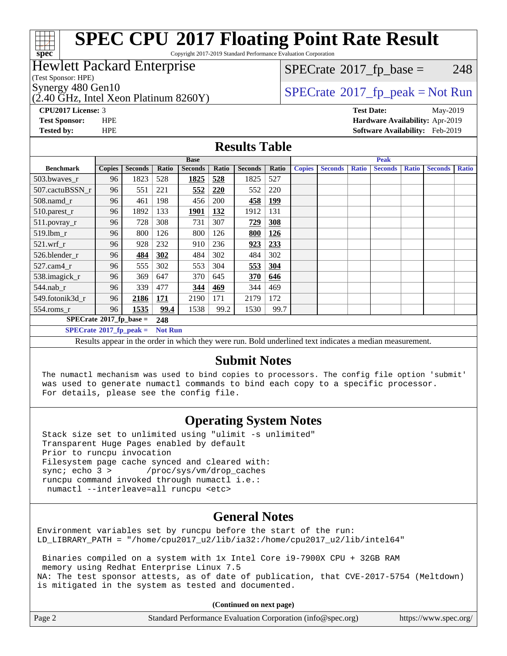# **[spec](http://www.spec.org/)**

## **[SPEC CPU](http://www.spec.org/auto/cpu2017/Docs/result-fields.html#SPECCPU2017FloatingPointRateResult)[2017 Floating Point Rate Result](http://www.spec.org/auto/cpu2017/Docs/result-fields.html#SPECCPU2017FloatingPointRateResult)**

Copyright 2017-2019 Standard Performance Evaluation Corporation

## Hewlett Packard Enterprise

(Test Sponsor: HPE)

 $(2.40 \text{ GHz}, \text{Intel Xeon Platinum } 8260 \text{Y})$ 

 $SPECTate$ <sup>®</sup>[2017\\_fp\\_base =](http://www.spec.org/auto/cpu2017/Docs/result-fields.html#SPECrate2017fpbase) 248

## Synergy 480 Gen10<br>  $SPECrate^{\circ}2017$  $SPECrate^{\circ}2017$ \_fp\_peak = Not Run

**[CPU2017 License:](http://www.spec.org/auto/cpu2017/Docs/result-fields.html#CPU2017License)** 3 **[Test Date:](http://www.spec.org/auto/cpu2017/Docs/result-fields.html#TestDate)** May-2019 **[Test Sponsor:](http://www.spec.org/auto/cpu2017/Docs/result-fields.html#TestSponsor)** HPE **[Hardware Availability:](http://www.spec.org/auto/cpu2017/Docs/result-fields.html#HardwareAvailability)** Apr-2019 **[Tested by:](http://www.spec.org/auto/cpu2017/Docs/result-fields.html#Testedby)** HPE **[Software Availability:](http://www.spec.org/auto/cpu2017/Docs/result-fields.html#SoftwareAvailability)** Feb-2019

### **[Results Table](http://www.spec.org/auto/cpu2017/Docs/result-fields.html#ResultsTable)**

|                                         |               | <b>Base</b>    |                |                |       | <b>Peak</b>    |            |               |                |              |                |              |                |              |
|-----------------------------------------|---------------|----------------|----------------|----------------|-------|----------------|------------|---------------|----------------|--------------|----------------|--------------|----------------|--------------|
| <b>Benchmark</b>                        | <b>Copies</b> | <b>Seconds</b> | Ratio          | <b>Seconds</b> | Ratio | <b>Seconds</b> | Ratio      | <b>Copies</b> | <b>Seconds</b> | <b>Ratio</b> | <b>Seconds</b> | <b>Ratio</b> | <b>Seconds</b> | <b>Ratio</b> |
| 503.bwayes r                            | 96            | 1823           | 528            | 1825           | 528   | 1825           | 527        |               |                |              |                |              |                |              |
| 507.cactuBSSN r                         | 96            | 551            | 221            | 552            | 220   | 552            | 220        |               |                |              |                |              |                |              |
| $508$ .namd_r                           | 96            | 461            | 198            | 456            | 200   | 458            | <u>199</u> |               |                |              |                |              |                |              |
| 510.parest_r                            | 96            | 1892           | 133            | 1901           | 132   | 1912           | 131        |               |                |              |                |              |                |              |
| 511.povray_r                            | 96            | 728            | 308            | 731            | 307   | 729            | 308        |               |                |              |                |              |                |              |
| 519.lbm_r                               | 96            | 800            | 126            | 800            | 126   | 800            | 126        |               |                |              |                |              |                |              |
| $521$ .wrf r                            | 96            | 928            | 232            | 910            | 236   | 923            | 233        |               |                |              |                |              |                |              |
| 526.blender r                           | 96            | 484            | 302            | 484            | 302   | 484            | 302        |               |                |              |                |              |                |              |
| $527$ .cam $4r$                         | 96            | 555            | 302            | 553            | 304   | 553            | 304        |               |                |              |                |              |                |              |
| 538.imagick r                           | 96            | 369            | 647            | 370            | 645   | 370            | 646        |               |                |              |                |              |                |              |
| $544.nab_r$                             | 96            | 339            | 477            | 344            | 469   | 344            | 469        |               |                |              |                |              |                |              |
| 549.fotonik3d r                         | 96            | 2186           | 171            | 2190           | 171   | 2179           | 172        |               |                |              |                |              |                |              |
| $554$ .roms_r                           | 96            | 1535           | 99.4           | 1538           | 99.2  | 1530           | 99.7       |               |                |              |                |              |                |              |
| $SPECrate^{\circ}2017$ fp base =<br>248 |               |                |                |                |       |                |            |               |                |              |                |              |                |              |
| $SPECrate^{\circ}2017$ fp peak =        |               |                | <b>Not Run</b> |                |       |                |            |               |                |              |                |              |                |              |

Results appear in the [order in which they were run.](http://www.spec.org/auto/cpu2017/Docs/result-fields.html#RunOrder) Bold underlined text [indicates a median measurement.](http://www.spec.org/auto/cpu2017/Docs/result-fields.html#Median)

## **[Submit Notes](http://www.spec.org/auto/cpu2017/Docs/result-fields.html#SubmitNotes)**

 The numactl mechanism was used to bind copies to processors. The config file option 'submit' was used to generate numactl commands to bind each copy to a specific processor. For details, please see the config file.

## **[Operating System Notes](http://www.spec.org/auto/cpu2017/Docs/result-fields.html#OperatingSystemNotes)**

 Stack size set to unlimited using "ulimit -s unlimited" Transparent Huge Pages enabled by default Prior to runcpu invocation Filesystem page cache synced and cleared with: sync; echo 3 > /proc/sys/vm/drop\_caches runcpu command invoked through numactl i.e.: numactl --interleave=all runcpu <etc>

## **[General Notes](http://www.spec.org/auto/cpu2017/Docs/result-fields.html#GeneralNotes)**

Environment variables set by runcpu before the start of the run: LD\_LIBRARY\_PATH = "/home/cpu2017\_u2/lib/ia32:/home/cpu2017\_u2/lib/intel64"

 Binaries compiled on a system with 1x Intel Core i9-7900X CPU + 32GB RAM memory using Redhat Enterprise Linux 7.5 NA: The test sponsor attests, as of date of publication, that CVE-2017-5754 (Meltdown) is mitigated in the system as tested and documented.

**(Continued on next page)**

| Page 2 | Standard Performance Evaluation Corporation (info@spec.org) | https://www.spec.org/ |
|--------|-------------------------------------------------------------|-----------------------|
|--------|-------------------------------------------------------------|-----------------------|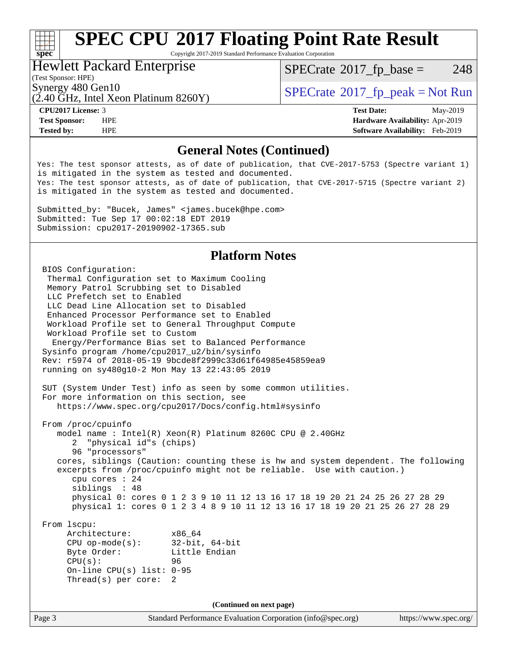# **[spec](http://www.spec.org/)**<sup>®</sup>

## **[SPEC CPU](http://www.spec.org/auto/cpu2017/Docs/result-fields.html#SPECCPU2017FloatingPointRateResult)[2017 Floating Point Rate Result](http://www.spec.org/auto/cpu2017/Docs/result-fields.html#SPECCPU2017FloatingPointRateResult)**

Copyright 2017-2019 Standard Performance Evaluation Corporation

### Hewlett Packard Enterprise

 $SPECTate$ <sup>®</sup>[2017\\_fp\\_base =](http://www.spec.org/auto/cpu2017/Docs/result-fields.html#SPECrate2017fpbase) 248

## (Test Sponsor: HPE)

 $(2.40 \text{ GHz}, \text{Intel Xeon Platinum } 8260 \text{Y})$ 

Synergy 480 Gen10<br> $(2.40 \text{ GHz})$  Intel Xeon Platinum 8260V)  $\vert$  [SPECrate](http://www.spec.org/auto/cpu2017/Docs/result-fields.html#SPECrate2017fppeak)®[2017\\_fp\\_peak = N](http://www.spec.org/auto/cpu2017/Docs/result-fields.html#SPECrate2017fppeak)ot Run

**[CPU2017 License:](http://www.spec.org/auto/cpu2017/Docs/result-fields.html#CPU2017License)** 3 **[Test Date:](http://www.spec.org/auto/cpu2017/Docs/result-fields.html#TestDate)** May-2019 **[Test Sponsor:](http://www.spec.org/auto/cpu2017/Docs/result-fields.html#TestSponsor)** HPE **[Hardware Availability:](http://www.spec.org/auto/cpu2017/Docs/result-fields.html#HardwareAvailability)** Apr-2019 **[Tested by:](http://www.spec.org/auto/cpu2017/Docs/result-fields.html#Testedby)** HPE **[Software Availability:](http://www.spec.org/auto/cpu2017/Docs/result-fields.html#SoftwareAvailability)** Feb-2019

## **[General Notes \(Continued\)](http://www.spec.org/auto/cpu2017/Docs/result-fields.html#GeneralNotes)**

Yes: The test sponsor attests, as of date of publication, that CVE-2017-5753 (Spectre variant 1) is mitigated in the system as tested and documented. Yes: The test sponsor attests, as of date of publication, that CVE-2017-5715 (Spectre variant 2) is mitigated in the system as tested and documented.

Submitted\_by: "Bucek, James" <james.bucek@hpe.com> Submitted: Tue Sep 17 00:02:18 EDT 2019 Submission: cpu2017-20190902-17365.sub

## **[Platform Notes](http://www.spec.org/auto/cpu2017/Docs/result-fields.html#PlatformNotes)**

Page 3 Standard Performance Evaluation Corporation [\(info@spec.org\)](mailto:info@spec.org) <https://www.spec.org/> BIOS Configuration: Thermal Configuration set to Maximum Cooling Memory Patrol Scrubbing set to Disabled LLC Prefetch set to Enabled LLC Dead Line Allocation set to Disabled Enhanced Processor Performance set to Enabled Workload Profile set to General Throughput Compute Workload Profile set to Custom Energy/Performance Bias set to Balanced Performance Sysinfo program /home/cpu2017\_u2/bin/sysinfo Rev: r5974 of 2018-05-19 9bcde8f2999c33d61f64985e45859ea9 running on sy480g10-2 Mon May 13 22:43:05 2019 SUT (System Under Test) info as seen by some common utilities. For more information on this section, see <https://www.spec.org/cpu2017/Docs/config.html#sysinfo> From /proc/cpuinfo model name : Intel(R) Xeon(R) Platinum 8260C CPU @ 2.40GHz 2 "physical id"s (chips) 96 "processors" cores, siblings (Caution: counting these is hw and system dependent. The following excerpts from /proc/cpuinfo might not be reliable. Use with caution.) cpu cores : 24 siblings : 48 physical 0: cores 0 1 2 3 9 10 11 12 13 16 17 18 19 20 21 24 25 26 27 28 29 physical 1: cores 0 1 2 3 4 8 9 10 11 12 13 16 17 18 19 20 21 25 26 27 28 29 From lscpu: Architecture: x86\_64 CPU op-mode(s): 32-bit, 64-bit Byte Order: Little Endian CPU(s): 96 On-line CPU(s) list: 0-95 Thread(s) per core: 2 **(Continued on next page)**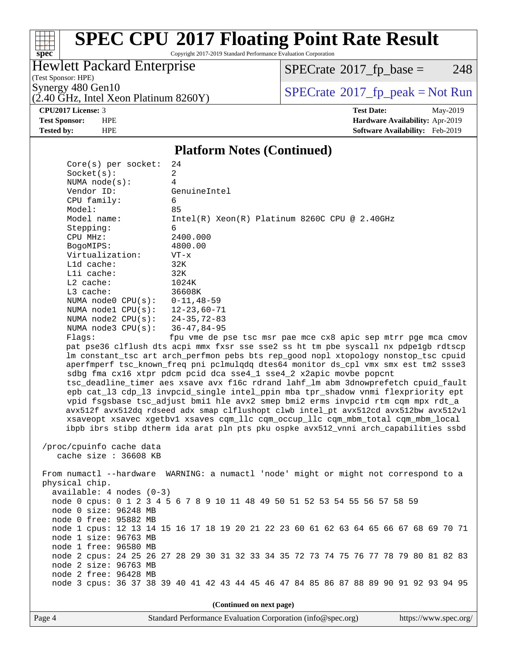# **[spec](http://www.spec.org/)**

## **[SPEC CPU](http://www.spec.org/auto/cpu2017/Docs/result-fields.html#SPECCPU2017FloatingPointRateResult)[2017 Floating Point Rate Result](http://www.spec.org/auto/cpu2017/Docs/result-fields.html#SPECCPU2017FloatingPointRateResult)**

Copyright 2017-2019 Standard Performance Evaluation Corporation

### Hewlett Packard Enterprise

 $SPECrate$ <sup>®</sup>[2017\\_fp\\_base =](http://www.spec.org/auto/cpu2017/Docs/result-fields.html#SPECrate2017fpbase) 248

(Test Sponsor: HPE)

 $(2.40 \text{ GHz}, \text{Intel Xeon Platinum } 8260 \text{Y})$ 

Synergy 480 Gen10<br>  $\begin{array}{c}\n\text{SPECTate} \textcircled{2017\_fp\_peak} = \text{Not Run} \\
\text{SPECTate} \textcircled{2017\_fp\_peak} = \text{Not Run}\n\end{array}$ 

**[CPU2017 License:](http://www.spec.org/auto/cpu2017/Docs/result-fields.html#CPU2017License)** 3 **[Test Date:](http://www.spec.org/auto/cpu2017/Docs/result-fields.html#TestDate)** May-2019 **[Test Sponsor:](http://www.spec.org/auto/cpu2017/Docs/result-fields.html#TestSponsor)** HPE **[Hardware Availability:](http://www.spec.org/auto/cpu2017/Docs/result-fields.html#HardwareAvailability)** Apr-2019 **[Tested by:](http://www.spec.org/auto/cpu2017/Docs/result-fields.html#Testedby)** HPE **[Software Availability:](http://www.spec.org/auto/cpu2017/Docs/result-fields.html#SoftwareAvailability)** Feb-2019

### **[Platform Notes \(Continued\)](http://www.spec.org/auto/cpu2017/Docs/result-fields.html#PlatformNotes)**

| Core(s) per socket:               | 24                                                                                                                                                                         |
|-----------------------------------|----------------------------------------------------------------------------------------------------------------------------------------------------------------------------|
| Socket(s):                        | $\overline{2}$                                                                                                                                                             |
| NUMA $node(s):$                   | $\overline{4}$                                                                                                                                                             |
| Vendor ID:                        | GenuineIntel                                                                                                                                                               |
| CPU family:                       | 6                                                                                                                                                                          |
| Model:                            | 85                                                                                                                                                                         |
| Model name:                       | $Intel(R) Xeon(R) Platinum 8260C CPU @ 2.40GHz$                                                                                                                            |
| Stepping:                         | 6                                                                                                                                                                          |
| CPU MHz:                          | 2400.000                                                                                                                                                                   |
| BogoMIPS:                         | 4800.00                                                                                                                                                                    |
| Virtualization:                   | $VT - x$                                                                                                                                                                   |
| L1d cache:                        | 32K                                                                                                                                                                        |
| Lli cache:                        | 32K                                                                                                                                                                        |
| $L2$ cache:                       | 1024K                                                                                                                                                                      |
| L3 cache:                         | 36608K                                                                                                                                                                     |
| NUMA node0 $CPU(s): 0-11, 48-59$  |                                                                                                                                                                            |
| NUMA node1 CPU(s): 12-23,60-71    |                                                                                                                                                                            |
| NUMA node2 $CPU(s): 24-35, 72-83$ |                                                                                                                                                                            |
| NUMA $node3$ $CPU(s):$            | $36 - 47, 84 - 95$                                                                                                                                                         |
| Flags:                            | fpu vme de pse tsc msr pae mce cx8 apic sep mtrr pge mca cmov                                                                                                              |
|                                   | pat pse36 clflush dts acpi mmx fxsr sse sse2 ss ht tm pbe syscall nx pdpelgb rdtscp                                                                                        |
|                                   | lm constant_tsc art arch_perfmon pebs bts rep_good nopl xtopology nonstop_tsc cpuid<br>aperfmperf tsc_known_freq pni pclmulqdq dtes64 monitor ds_cpl vmx smx est tm2 ssse3 |
|                                   | sdbg fma cx16 xtpr pdcm pcid dca sse4_1 sse4_2 x2apic movbe popcnt                                                                                                         |
|                                   | tsc_deadline_timer aes xsave avx f16c rdrand lahf_lm abm 3dnowprefetch cpuid_fault                                                                                         |
|                                   | epb cat_13 cdp_13 invpcid_single intel_ppin mba tpr_shadow vnmi flexpriority ept                                                                                           |
|                                   | vpid fsgsbase tsc_adjust bmil hle avx2 smep bmi2 erms invpcid rtm cqm mpx rdt_a                                                                                            |
|                                   | avx512f avx512dq rdseed adx smap clflushopt clwb intel_pt avx512cd avx512bw avx512vl                                                                                       |
|                                   | xsaveopt xsavec xgetbvl xsaves cqm_llc cqm_occup_llc cqm_mbm_total cqm_mbm_local                                                                                           |
|                                   | ibpb ibrs stibp dtherm ida arat pln pts pku ospke avx512_vnni arch_capabilities ssbd                                                                                       |
|                                   |                                                                                                                                                                            |
| /proc/cpuinfo cache data          |                                                                                                                                                                            |
| cache size : 36608 KB             |                                                                                                                                                                            |
|                                   |                                                                                                                                                                            |
|                                   | From numactl --hardware WARNING: a numactl 'node' might or might not correspond to a                                                                                       |
| physical chip.                    |                                                                                                                                                                            |
| $available: 4 nodes (0-3)$        |                                                                                                                                                                            |
|                                   | node 0 cpus: 0 1 2 3 4 5 6 7 8 9 10 11 48 49 50 51 52 53 54 55 56 57 58 59                                                                                                 |
| node 0 size: 96248 MB             |                                                                                                                                                                            |
| node 0 free: 95882 MB             |                                                                                                                                                                            |
|                                   | node 1 cpus: 12 13 14 15 16 17 18 19 20 21 22 23 60 61 62 63 64 65 66 67 68 69 70 71                                                                                       |
| node 1 size: 96763 MB             |                                                                                                                                                                            |
| node 1 free: 96580 MB             |                                                                                                                                                                            |
|                                   | node 2 cpus: 24 25 26 27 28 29 30 31 32 33 34 35 72 73 74 75 76 77 78 79 80 81 82 83                                                                                       |
| node 2 size: 96763 MB             |                                                                                                                                                                            |
| node 2 free: 96428 MB             |                                                                                                                                                                            |
|                                   | node 3 cpus: 36 37 38 39 40 41 42 43 44 45 46 47 84 85 86 87 88 89 90 91 92 93 94 95                                                                                       |
|                                   |                                                                                                                                                                            |
|                                   | (Continued on next page)                                                                                                                                                   |
|                                   |                                                                                                                                                                            |
| Page 4                            | Standard Performance Evaluation Corporation (info@spec.org) https://www.spec.org/                                                                                          |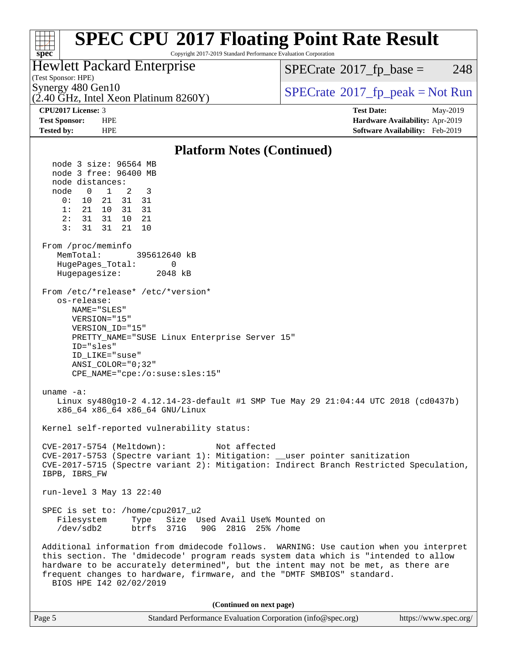### **[SPEC CPU](http://www.spec.org/auto/cpu2017/Docs/result-fields.html#SPECCPU2017FloatingPointRateResult)[2017 Floating Point Rate Result](http://www.spec.org/auto/cpu2017/Docs/result-fields.html#SPECCPU2017FloatingPointRateResult)**  $\pm\tau$ **[spec](http://www.spec.org/)** Copyright 2017-2019 Standard Performance Evaluation Corporation Hewlett Packard Enterprise  $SPECTate$ <sup>®</sup>[2017\\_fp\\_base =](http://www.spec.org/auto/cpu2017/Docs/result-fields.html#SPECrate2017fpbase) 248 (Test Sponsor: HPE) Synergy 480 Gen10<br>  $\begin{array}{c}\n\text{SPECTate} \textcircled{2017\_fp\_peak} = \text{Not Run} \\
\text{SPECTate} \textcircled{2017\_fp\_peak} = \text{Not Run}\n\end{array}$  $(2.40 \text{ GHz}, \text{Intel Xeon Platinum } 8260 \text{Y})$ **[CPU2017 License:](http://www.spec.org/auto/cpu2017/Docs/result-fields.html#CPU2017License)** 3 **[Test Date:](http://www.spec.org/auto/cpu2017/Docs/result-fields.html#TestDate)** May-2019 **[Test Sponsor:](http://www.spec.org/auto/cpu2017/Docs/result-fields.html#TestSponsor)** HPE **[Hardware Availability:](http://www.spec.org/auto/cpu2017/Docs/result-fields.html#HardwareAvailability)** Apr-2019 **[Tested by:](http://www.spec.org/auto/cpu2017/Docs/result-fields.html#Testedby)** HPE **[Software Availability:](http://www.spec.org/auto/cpu2017/Docs/result-fields.html#SoftwareAvailability)** Feb-2019 **[Platform Notes \(Continued\)](http://www.spec.org/auto/cpu2017/Docs/result-fields.html#PlatformNotes)** node 3 size: 96564 MB node 3 free: 96400 MB node distances: node 0 1 2 3 0: 10 21 31 31 1: 21 10 31 31 2: 31 31 10 21 3: 31 31 21 10 From /proc/meminfo MemTotal: 395612640 kB HugePages Total: 0 Hugepagesize: 2048 kB From /etc/\*release\* /etc/\*version\* os-release: NAME="SLES" VERSION="15" VERSION\_ID="15" PRETTY\_NAME="SUSE Linux Enterprise Server 15" ID="sles" ID\_LIKE="suse" ANSI\_COLOR="0;32" CPE\_NAME="cpe:/o:suse:sles:15" uname -a: Linux sy480g10-2 4.12.14-23-default #1 SMP Tue May 29 21:04:44 UTC 2018 (cd0437b) x86\_64 x86\_64 x86\_64 GNU/Linux Kernel self-reported vulnerability status: CVE-2017-5754 (Meltdown): Not affected CVE-2017-5753 (Spectre variant 1): Mitigation: \_\_user pointer sanitization CVE-2017-5715 (Spectre variant 2): Mitigation: Indirect Branch Restricted Speculation, IBPB, IBRS\_FW run-level 3 May 13 22:40 SPEC is set to: /home/cpu2017\_u2 Filesystem Type Size Used Avail Use% Mounted on /dev/sdb2 btrfs 371G 90G 281G 25% /home Additional information from dmidecode follows. WARNING: Use caution when you interpret this section. The 'dmidecode' program reads system data which is "intended to allow hardware to be accurately determined", but the intent may not be met, as there are frequent changes to hardware, firmware, and the "DMTF SMBIOS" standard. BIOS HPE I42 02/02/2019 **(Continued on next page)**

|  | Page 5 | Standard Performance Evaluation Corporation (info@spec.org) | https://www.spec.org/ |
|--|--------|-------------------------------------------------------------|-----------------------|
|--|--------|-------------------------------------------------------------|-----------------------|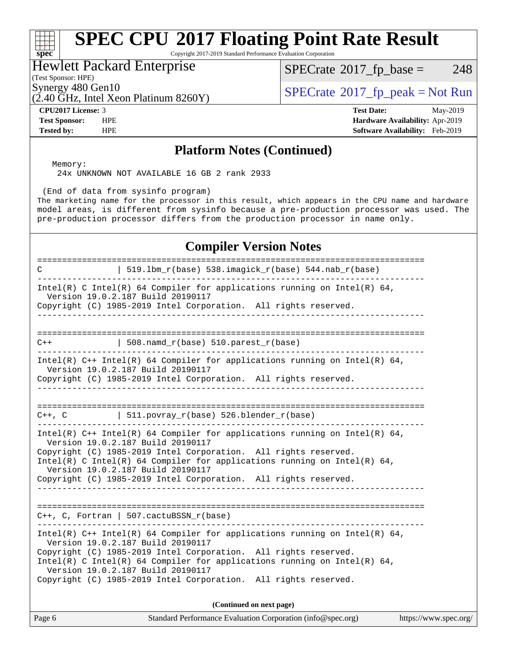## **[SPEC CPU](http://www.spec.org/auto/cpu2017/Docs/result-fields.html#SPECCPU2017FloatingPointRateResult)[2017 Floating Point Rate Result](http://www.spec.org/auto/cpu2017/Docs/result-fields.html#SPECCPU2017FloatingPointRateResult)**

Copyright 2017-2019 Standard Performance Evaluation Corporation

## Hewlett Packard Enterprise

(Test Sponsor: HPE)

**[spec](http://www.spec.org/)**

 $\pm\pm\prime$ 

 $SPECTate@2017_fp\_base = 248$ 

 $(2.40 \text{ }\overline{\text{GHz}}$ , Intel Xeon Platinum 8260Y)

**[Tested by:](http://www.spec.org/auto/cpu2017/Docs/result-fields.html#Testedby)** HPE **[Software Availability:](http://www.spec.org/auto/cpu2017/Docs/result-fields.html#SoftwareAvailability)** Feb-2019

Synergy 480 Gen10<br>  $\begin{array}{c}\n\text{SPECTate} \textcirc 2017\_fp\_peak = Not Run \\
\text{SPECTate} \textcirc 2017\_fp\_peak = Not Run\n\end{array}$ 

**[CPU2017 License:](http://www.spec.org/auto/cpu2017/Docs/result-fields.html#CPU2017License)** 3 **[Test Date:](http://www.spec.org/auto/cpu2017/Docs/result-fields.html#TestDate)** May-2019 **[Test Sponsor:](http://www.spec.org/auto/cpu2017/Docs/result-fields.html#TestSponsor)** HPE **[Hardware Availability:](http://www.spec.org/auto/cpu2017/Docs/result-fields.html#HardwareAvailability)** Apr-2019

### **[Platform Notes \(Continued\)](http://www.spec.org/auto/cpu2017/Docs/result-fields.html#PlatformNotes)**

 Memory: 24x UNKNOWN NOT AVAILABLE 16 GB 2 rank 2933

(End of data from sysinfo program)

The marketing name for the processor in this result, which appears in the CPU name and hardware model areas, is different from sysinfo because a pre-production processor was used. The pre-production processor differs from the production processor in name only.

### **[Compiler Version Notes](http://www.spec.org/auto/cpu2017/Docs/result-fields.html#CompilerVersionNotes)**

| :=================<br>  $519.1bm_r(base) 538.imagick_r(base) 544.nab_r(base)$<br>$\mathcal{C}$                                                                                                                                                                                                                                                                                                                   |  |  |  |  |  |  |
|------------------------------------------------------------------------------------------------------------------------------------------------------------------------------------------------------------------------------------------------------------------------------------------------------------------------------------------------------------------------------------------------------------------|--|--|--|--|--|--|
| -----------------------------------<br>Intel(R) C Intel(R) 64 Compiler for applications running on Intel(R) 64,<br>Version 19.0.2.187 Build 20190117<br>Copyright (C) 1985-2019 Intel Corporation. All rights reserved.                                                                                                                                                                                          |  |  |  |  |  |  |
|                                                                                                                                                                                                                                                                                                                                                                                                                  |  |  |  |  |  |  |
| $  508.namd_r(base) 510.parest_r(base)$<br>$C++$                                                                                                                                                                                                                                                                                                                                                                 |  |  |  |  |  |  |
| Intel(R) C++ Intel(R) 64 Compiler for applications running on Intel(R) 64,<br>Version 19.0.2.187 Build 20190117<br>Copyright (C) 1985-2019 Intel Corporation. All rights reserved.<br>___________________________________                                                                                                                                                                                        |  |  |  |  |  |  |
| $C++$ , C $\qquad$ 511.povray_r(base) 526.blender_r(base)                                                                                                                                                                                                                                                                                                                                                        |  |  |  |  |  |  |
| Intel(R) $C++$ Intel(R) 64 Compiler for applications running on Intel(R) 64,<br>Version 19.0.2.187 Build 20190117<br>Copyright (C) 1985-2019 Intel Corporation. All rights reserved.<br>Intel(R) C Intel(R) 64 Compiler for applications running on Intel(R) 64,<br>Version 19.0.2.187 Build 20190117<br>Copyright (C) 1985-2019 Intel Corporation. All rights reserved.<br>__________________________________   |  |  |  |  |  |  |
| $C++$ , C, Fortran   507.cactuBSSN_r(base)                                                                                                                                                                                                                                                                                                                                                                       |  |  |  |  |  |  |
| ------------------------------------<br>Intel(R) $C++$ Intel(R) 64 Compiler for applications running on Intel(R) 64,<br>Version 19.0.2.187 Build 20190117<br>Copyright (C) 1985-2019 Intel Corporation. All rights reserved.<br>Intel(R) C Intel(R) 64 Compiler for applications running on Intel(R) 64,<br>Version 19.0.2.187 Build 20190117<br>Copyright (C) 1985-2019 Intel Corporation. All rights reserved. |  |  |  |  |  |  |
| (Continued on next page)                                                                                                                                                                                                                                                                                                                                                                                         |  |  |  |  |  |  |

Page 6 Standard Performance Evaluation Corporation [\(info@spec.org\)](mailto:info@spec.org) <https://www.spec.org/>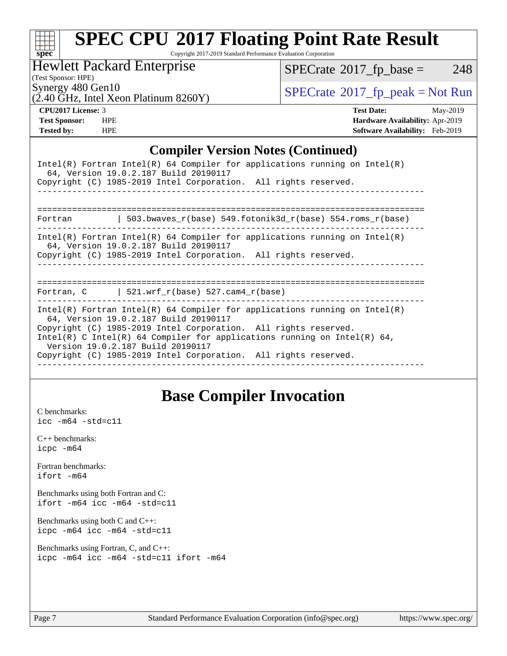

## **[SPEC CPU](http://www.spec.org/auto/cpu2017/Docs/result-fields.html#SPECCPU2017FloatingPointRateResult)[2017 Floating Point Rate Result](http://www.spec.org/auto/cpu2017/Docs/result-fields.html#SPECCPU2017FloatingPointRateResult)**

Copyright 2017-2019 Standard Performance Evaluation Corporation

Hewlett Packard Enterprise

 $SPECTate$ <sup>®</sup>[2017\\_fp\\_base =](http://www.spec.org/auto/cpu2017/Docs/result-fields.html#SPECrate2017fpbase) 248

(Test Sponsor: HPE)

 $(2.40 \text{ }\overline{\text{GHz}}$ , Intel Xeon Platinum 8260Y)

Synergy 480 Gen10<br>  $\begin{array}{c}\n\text{SPECTate} \textcirc 2017\_fp\_peak = Not Run \\
\text{SPECTate} \textcirc 2017\_fp\_peak = Not Run\n\end{array}$ 

**[CPU2017 License:](http://www.spec.org/auto/cpu2017/Docs/result-fields.html#CPU2017License)** 3 **[Test Date:](http://www.spec.org/auto/cpu2017/Docs/result-fields.html#TestDate)** May-2019 **[Test Sponsor:](http://www.spec.org/auto/cpu2017/Docs/result-fields.html#TestSponsor)** HPE **[Hardware Availability:](http://www.spec.org/auto/cpu2017/Docs/result-fields.html#HardwareAvailability)** Apr-2019 **[Tested by:](http://www.spec.org/auto/cpu2017/Docs/result-fields.html#Testedby)** HPE **[Software Availability:](http://www.spec.org/auto/cpu2017/Docs/result-fields.html#SoftwareAvailability)** Feb-2019

## **[Compiler Version Notes \(Continued\)](http://www.spec.org/auto/cpu2017/Docs/result-fields.html#CompilerVersionNotes)**

| Intel(R) Fortran Intel(R) 64 Compiler for applications running on $Intel(R)$<br>64, Version 19.0.2.187 Build 20190117<br>Copyright (C) 1985-2019 Intel Corporation. All rights reserved.                                                                                                                                                                                   |  |  |  |  |  |
|----------------------------------------------------------------------------------------------------------------------------------------------------------------------------------------------------------------------------------------------------------------------------------------------------------------------------------------------------------------------------|--|--|--|--|--|
| ======================                                                                                                                                                                                                                                                                                                                                                     |  |  |  |  |  |
| 503.bwaves r(base) 549.fotonik3d r(base) 554.roms r(base)<br>Fortran                                                                                                                                                                                                                                                                                                       |  |  |  |  |  |
| Intel(R) Fortran Intel(R) 64 Compiler for applications running on Intel(R)<br>64, Version 19.0.2.187 Build 20190117<br>Copyright (C) 1985-2019 Intel Corporation. All rights reserved.                                                                                                                                                                                     |  |  |  |  |  |
|                                                                                                                                                                                                                                                                                                                                                                            |  |  |  |  |  |
| Fortran, C $\vert$ 521.wrf r(base) 527.cam4 r(base)                                                                                                                                                                                                                                                                                                                        |  |  |  |  |  |
| Intel(R) Fortran Intel(R) 64 Compiler for applications running on Intel(R)<br>64, Version 19.0.2.187 Build 20190117<br>Copyright (C) 1985-2019 Intel Corporation. All rights reserved.<br>Intel(R) C Intel(R) 64 Compiler for applications running on Intel(R) 64,<br>Version 19.0.2.187 Build 20190117<br>Copyright (C) 1985-2019 Intel Corporation. All rights reserved. |  |  |  |  |  |

## **[Base Compiler Invocation](http://www.spec.org/auto/cpu2017/Docs/result-fields.html#BaseCompilerInvocation)**

[C benchmarks](http://www.spec.org/auto/cpu2017/Docs/result-fields.html#Cbenchmarks): [icc -m64 -std=c11](http://www.spec.org/cpu2017/results/res2019q3/cpu2017-20190902-17365.flags.html#user_CCbase_intel_icc_64bit_c11_33ee0cdaae7deeeab2a9725423ba97205ce30f63b9926c2519791662299b76a0318f32ddfffdc46587804de3178b4f9328c46fa7c2b0cd779d7a61945c91cd35)

[C++ benchmarks:](http://www.spec.org/auto/cpu2017/Docs/result-fields.html#CXXbenchmarks) [icpc -m64](http://www.spec.org/cpu2017/results/res2019q3/cpu2017-20190902-17365.flags.html#user_CXXbase_intel_icpc_64bit_4ecb2543ae3f1412ef961e0650ca070fec7b7afdcd6ed48761b84423119d1bf6bdf5cad15b44d48e7256388bc77273b966e5eb805aefd121eb22e9299b2ec9d9)

[Fortran benchmarks](http://www.spec.org/auto/cpu2017/Docs/result-fields.html#Fortranbenchmarks): [ifort -m64](http://www.spec.org/cpu2017/results/res2019q3/cpu2017-20190902-17365.flags.html#user_FCbase_intel_ifort_64bit_24f2bb282fbaeffd6157abe4f878425411749daecae9a33200eee2bee2fe76f3b89351d69a8130dd5949958ce389cf37ff59a95e7a40d588e8d3a57e0c3fd751)

[Benchmarks using both Fortran and C](http://www.spec.org/auto/cpu2017/Docs/result-fields.html#BenchmarksusingbothFortranandC): [ifort -m64](http://www.spec.org/cpu2017/results/res2019q3/cpu2017-20190902-17365.flags.html#user_CC_FCbase_intel_ifort_64bit_24f2bb282fbaeffd6157abe4f878425411749daecae9a33200eee2bee2fe76f3b89351d69a8130dd5949958ce389cf37ff59a95e7a40d588e8d3a57e0c3fd751) [icc -m64 -std=c11](http://www.spec.org/cpu2017/results/res2019q3/cpu2017-20190902-17365.flags.html#user_CC_FCbase_intel_icc_64bit_c11_33ee0cdaae7deeeab2a9725423ba97205ce30f63b9926c2519791662299b76a0318f32ddfffdc46587804de3178b4f9328c46fa7c2b0cd779d7a61945c91cd35)

[Benchmarks using both C and C++](http://www.spec.org/auto/cpu2017/Docs/result-fields.html#BenchmarksusingbothCandCXX): [icpc -m64](http://www.spec.org/cpu2017/results/res2019q3/cpu2017-20190902-17365.flags.html#user_CC_CXXbase_intel_icpc_64bit_4ecb2543ae3f1412ef961e0650ca070fec7b7afdcd6ed48761b84423119d1bf6bdf5cad15b44d48e7256388bc77273b966e5eb805aefd121eb22e9299b2ec9d9) [icc -m64 -std=c11](http://www.spec.org/cpu2017/results/res2019q3/cpu2017-20190902-17365.flags.html#user_CC_CXXbase_intel_icc_64bit_c11_33ee0cdaae7deeeab2a9725423ba97205ce30f63b9926c2519791662299b76a0318f32ddfffdc46587804de3178b4f9328c46fa7c2b0cd779d7a61945c91cd35)

[Benchmarks using Fortran, C, and C++:](http://www.spec.org/auto/cpu2017/Docs/result-fields.html#BenchmarksusingFortranCandCXX) [icpc -m64](http://www.spec.org/cpu2017/results/res2019q3/cpu2017-20190902-17365.flags.html#user_CC_CXX_FCbase_intel_icpc_64bit_4ecb2543ae3f1412ef961e0650ca070fec7b7afdcd6ed48761b84423119d1bf6bdf5cad15b44d48e7256388bc77273b966e5eb805aefd121eb22e9299b2ec9d9) [icc -m64 -std=c11](http://www.spec.org/cpu2017/results/res2019q3/cpu2017-20190902-17365.flags.html#user_CC_CXX_FCbase_intel_icc_64bit_c11_33ee0cdaae7deeeab2a9725423ba97205ce30f63b9926c2519791662299b76a0318f32ddfffdc46587804de3178b4f9328c46fa7c2b0cd779d7a61945c91cd35) [ifort -m64](http://www.spec.org/cpu2017/results/res2019q3/cpu2017-20190902-17365.flags.html#user_CC_CXX_FCbase_intel_ifort_64bit_24f2bb282fbaeffd6157abe4f878425411749daecae9a33200eee2bee2fe76f3b89351d69a8130dd5949958ce389cf37ff59a95e7a40d588e8d3a57e0c3fd751)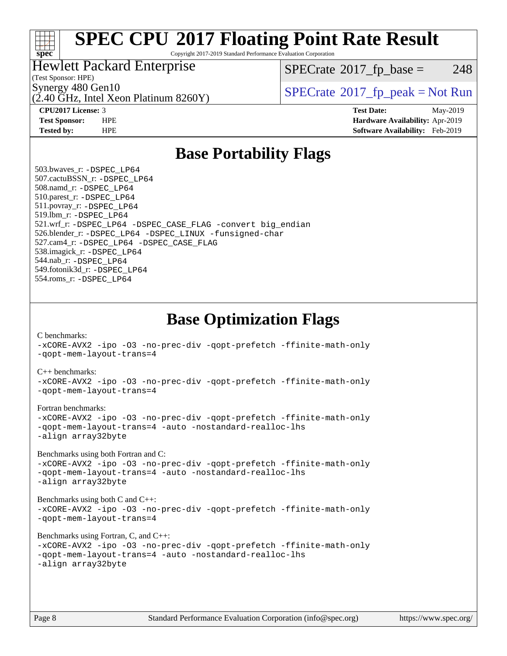

## **[SPEC CPU](http://www.spec.org/auto/cpu2017/Docs/result-fields.html#SPECCPU2017FloatingPointRateResult)[2017 Floating Point Rate Result](http://www.spec.org/auto/cpu2017/Docs/result-fields.html#SPECCPU2017FloatingPointRateResult)**

Copyright 2017-2019 Standard Performance Evaluation Corporation

## Hewlett Packard Enterprise

 $(2.40 \text{ GHz}, \text{Intel Xeon Platinum } 8260 \text{Y})$ 

 $SPECTate$ <sup>®</sup>[2017\\_fp\\_base =](http://www.spec.org/auto/cpu2017/Docs/result-fields.html#SPECrate2017fpbase) 248

(Test Sponsor: HPE)

Synergy 480 Gen10<br>  $SPECrate^{\circ}2017$  $SPECrate^{\circ}2017$  fp\_peak = Not Run

**[CPU2017 License:](http://www.spec.org/auto/cpu2017/Docs/result-fields.html#CPU2017License)** 3 **[Test Date:](http://www.spec.org/auto/cpu2017/Docs/result-fields.html#TestDate)** May-2019 **[Test Sponsor:](http://www.spec.org/auto/cpu2017/Docs/result-fields.html#TestSponsor)** HPE **[Hardware Availability:](http://www.spec.org/auto/cpu2017/Docs/result-fields.html#HardwareAvailability)** Apr-2019 **[Tested by:](http://www.spec.org/auto/cpu2017/Docs/result-fields.html#Testedby)** HPE **[Software Availability:](http://www.spec.org/auto/cpu2017/Docs/result-fields.html#SoftwareAvailability)** Feb-2019

## **[Base Portability Flags](http://www.spec.org/auto/cpu2017/Docs/result-fields.html#BasePortabilityFlags)**

 503.bwaves\_r: [-DSPEC\\_LP64](http://www.spec.org/cpu2017/results/res2019q3/cpu2017-20190902-17365.flags.html#suite_basePORTABILITY503_bwaves_r_DSPEC_LP64) 507.cactuBSSN\_r: [-DSPEC\\_LP64](http://www.spec.org/cpu2017/results/res2019q3/cpu2017-20190902-17365.flags.html#suite_basePORTABILITY507_cactuBSSN_r_DSPEC_LP64) 508.namd\_r: [-DSPEC\\_LP64](http://www.spec.org/cpu2017/results/res2019q3/cpu2017-20190902-17365.flags.html#suite_basePORTABILITY508_namd_r_DSPEC_LP64) 510.parest\_r: [-DSPEC\\_LP64](http://www.spec.org/cpu2017/results/res2019q3/cpu2017-20190902-17365.flags.html#suite_basePORTABILITY510_parest_r_DSPEC_LP64) 511.povray\_r: [-DSPEC\\_LP64](http://www.spec.org/cpu2017/results/res2019q3/cpu2017-20190902-17365.flags.html#suite_basePORTABILITY511_povray_r_DSPEC_LP64) 519.lbm\_r: [-DSPEC\\_LP64](http://www.spec.org/cpu2017/results/res2019q3/cpu2017-20190902-17365.flags.html#suite_basePORTABILITY519_lbm_r_DSPEC_LP64) 521.wrf\_r: [-DSPEC\\_LP64](http://www.spec.org/cpu2017/results/res2019q3/cpu2017-20190902-17365.flags.html#suite_basePORTABILITY521_wrf_r_DSPEC_LP64) [-DSPEC\\_CASE\\_FLAG](http://www.spec.org/cpu2017/results/res2019q3/cpu2017-20190902-17365.flags.html#b521.wrf_r_baseCPORTABILITY_DSPEC_CASE_FLAG) [-convert big\\_endian](http://www.spec.org/cpu2017/results/res2019q3/cpu2017-20190902-17365.flags.html#user_baseFPORTABILITY521_wrf_r_convert_big_endian_c3194028bc08c63ac5d04de18c48ce6d347e4e562e8892b8bdbdc0214820426deb8554edfa529a3fb25a586e65a3d812c835984020483e7e73212c4d31a38223) 526.blender\_r: [-DSPEC\\_LP64](http://www.spec.org/cpu2017/results/res2019q3/cpu2017-20190902-17365.flags.html#suite_basePORTABILITY526_blender_r_DSPEC_LP64) [-DSPEC\\_LINUX](http://www.spec.org/cpu2017/results/res2019q3/cpu2017-20190902-17365.flags.html#b526.blender_r_baseCPORTABILITY_DSPEC_LINUX) [-funsigned-char](http://www.spec.org/cpu2017/results/res2019q3/cpu2017-20190902-17365.flags.html#user_baseCPORTABILITY526_blender_r_force_uchar_40c60f00ab013830e2dd6774aeded3ff59883ba5a1fc5fc14077f794d777847726e2a5858cbc7672e36e1b067e7e5c1d9a74f7176df07886a243d7cc18edfe67) 527.cam4\_r: [-DSPEC\\_LP64](http://www.spec.org/cpu2017/results/res2019q3/cpu2017-20190902-17365.flags.html#suite_basePORTABILITY527_cam4_r_DSPEC_LP64) [-DSPEC\\_CASE\\_FLAG](http://www.spec.org/cpu2017/results/res2019q3/cpu2017-20190902-17365.flags.html#b527.cam4_r_baseCPORTABILITY_DSPEC_CASE_FLAG) 538.imagick\_r: [-DSPEC\\_LP64](http://www.spec.org/cpu2017/results/res2019q3/cpu2017-20190902-17365.flags.html#suite_basePORTABILITY538_imagick_r_DSPEC_LP64) 544.nab\_r: [-DSPEC\\_LP64](http://www.spec.org/cpu2017/results/res2019q3/cpu2017-20190902-17365.flags.html#suite_basePORTABILITY544_nab_r_DSPEC_LP64) 549.fotonik3d\_r: [-DSPEC\\_LP64](http://www.spec.org/cpu2017/results/res2019q3/cpu2017-20190902-17365.flags.html#suite_basePORTABILITY549_fotonik3d_r_DSPEC_LP64) 554.roms\_r: [-DSPEC\\_LP64](http://www.spec.org/cpu2017/results/res2019q3/cpu2017-20190902-17365.flags.html#suite_basePORTABILITY554_roms_r_DSPEC_LP64)

**[Base Optimization Flags](http://www.spec.org/auto/cpu2017/Docs/result-fields.html#BaseOptimizationFlags)**

[C benchmarks](http://www.spec.org/auto/cpu2017/Docs/result-fields.html#Cbenchmarks):

[-xCORE-AVX2](http://www.spec.org/cpu2017/results/res2019q3/cpu2017-20190902-17365.flags.html#user_CCbase_f-xCORE-AVX2) [-ipo](http://www.spec.org/cpu2017/results/res2019q3/cpu2017-20190902-17365.flags.html#user_CCbase_f-ipo) [-O3](http://www.spec.org/cpu2017/results/res2019q3/cpu2017-20190902-17365.flags.html#user_CCbase_f-O3) [-no-prec-div](http://www.spec.org/cpu2017/results/res2019q3/cpu2017-20190902-17365.flags.html#user_CCbase_f-no-prec-div) [-qopt-prefetch](http://www.spec.org/cpu2017/results/res2019q3/cpu2017-20190902-17365.flags.html#user_CCbase_f-qopt-prefetch) [-ffinite-math-only](http://www.spec.org/cpu2017/results/res2019q3/cpu2017-20190902-17365.flags.html#user_CCbase_f_finite_math_only_cb91587bd2077682c4b38af759c288ed7c732db004271a9512da14a4f8007909a5f1427ecbf1a0fb78ff2a814402c6114ac565ca162485bbcae155b5e4258871) [-qopt-mem-layout-trans=4](http://www.spec.org/cpu2017/results/res2019q3/cpu2017-20190902-17365.flags.html#user_CCbase_f-qopt-mem-layout-trans_fa39e755916c150a61361b7846f310bcdf6f04e385ef281cadf3647acec3f0ae266d1a1d22d972a7087a248fd4e6ca390a3634700869573d231a252c784941a8) [C++ benchmarks:](http://www.spec.org/auto/cpu2017/Docs/result-fields.html#CXXbenchmarks) [-xCORE-AVX2](http://www.spec.org/cpu2017/results/res2019q3/cpu2017-20190902-17365.flags.html#user_CXXbase_f-xCORE-AVX2) [-ipo](http://www.spec.org/cpu2017/results/res2019q3/cpu2017-20190902-17365.flags.html#user_CXXbase_f-ipo) [-O3](http://www.spec.org/cpu2017/results/res2019q3/cpu2017-20190902-17365.flags.html#user_CXXbase_f-O3) [-no-prec-div](http://www.spec.org/cpu2017/results/res2019q3/cpu2017-20190902-17365.flags.html#user_CXXbase_f-no-prec-div) [-qopt-prefetch](http://www.spec.org/cpu2017/results/res2019q3/cpu2017-20190902-17365.flags.html#user_CXXbase_f-qopt-prefetch) [-ffinite-math-only](http://www.spec.org/cpu2017/results/res2019q3/cpu2017-20190902-17365.flags.html#user_CXXbase_f_finite_math_only_cb91587bd2077682c4b38af759c288ed7c732db004271a9512da14a4f8007909a5f1427ecbf1a0fb78ff2a814402c6114ac565ca162485bbcae155b5e4258871) [-qopt-mem-layout-trans=4](http://www.spec.org/cpu2017/results/res2019q3/cpu2017-20190902-17365.flags.html#user_CXXbase_f-qopt-mem-layout-trans_fa39e755916c150a61361b7846f310bcdf6f04e385ef281cadf3647acec3f0ae266d1a1d22d972a7087a248fd4e6ca390a3634700869573d231a252c784941a8) [Fortran benchmarks](http://www.spec.org/auto/cpu2017/Docs/result-fields.html#Fortranbenchmarks): [-xCORE-AVX2](http://www.spec.org/cpu2017/results/res2019q3/cpu2017-20190902-17365.flags.html#user_FCbase_f-xCORE-AVX2) [-ipo](http://www.spec.org/cpu2017/results/res2019q3/cpu2017-20190902-17365.flags.html#user_FCbase_f-ipo) [-O3](http://www.spec.org/cpu2017/results/res2019q3/cpu2017-20190902-17365.flags.html#user_FCbase_f-O3) [-no-prec-div](http://www.spec.org/cpu2017/results/res2019q3/cpu2017-20190902-17365.flags.html#user_FCbase_f-no-prec-div) [-qopt-prefetch](http://www.spec.org/cpu2017/results/res2019q3/cpu2017-20190902-17365.flags.html#user_FCbase_f-qopt-prefetch) [-ffinite-math-only](http://www.spec.org/cpu2017/results/res2019q3/cpu2017-20190902-17365.flags.html#user_FCbase_f_finite_math_only_cb91587bd2077682c4b38af759c288ed7c732db004271a9512da14a4f8007909a5f1427ecbf1a0fb78ff2a814402c6114ac565ca162485bbcae155b5e4258871) [-qopt-mem-layout-trans=4](http://www.spec.org/cpu2017/results/res2019q3/cpu2017-20190902-17365.flags.html#user_FCbase_f-qopt-mem-layout-trans_fa39e755916c150a61361b7846f310bcdf6f04e385ef281cadf3647acec3f0ae266d1a1d22d972a7087a248fd4e6ca390a3634700869573d231a252c784941a8) [-auto](http://www.spec.org/cpu2017/results/res2019q3/cpu2017-20190902-17365.flags.html#user_FCbase_f-auto) [-nostandard-realloc-lhs](http://www.spec.org/cpu2017/results/res2019q3/cpu2017-20190902-17365.flags.html#user_FCbase_f_2003_std_realloc_82b4557e90729c0f113870c07e44d33d6f5a304b4f63d4c15d2d0f1fab99f5daaed73bdb9275d9ae411527f28b936061aa8b9c8f2d63842963b95c9dd6426b8a) [-align array32byte](http://www.spec.org/cpu2017/results/res2019q3/cpu2017-20190902-17365.flags.html#user_FCbase_align_array32byte_b982fe038af199962ba9a80c053b8342c548c85b40b8e86eb3cc33dee0d7986a4af373ac2d51c3f7cf710a18d62fdce2948f201cd044323541f22fc0fffc51b6) [Benchmarks using both Fortran and C](http://www.spec.org/auto/cpu2017/Docs/result-fields.html#BenchmarksusingbothFortranandC): [-xCORE-AVX2](http://www.spec.org/cpu2017/results/res2019q3/cpu2017-20190902-17365.flags.html#user_CC_FCbase_f-xCORE-AVX2) [-ipo](http://www.spec.org/cpu2017/results/res2019q3/cpu2017-20190902-17365.flags.html#user_CC_FCbase_f-ipo) [-O3](http://www.spec.org/cpu2017/results/res2019q3/cpu2017-20190902-17365.flags.html#user_CC_FCbase_f-O3) [-no-prec-div](http://www.spec.org/cpu2017/results/res2019q3/cpu2017-20190902-17365.flags.html#user_CC_FCbase_f-no-prec-div) [-qopt-prefetch](http://www.spec.org/cpu2017/results/res2019q3/cpu2017-20190902-17365.flags.html#user_CC_FCbase_f-qopt-prefetch) [-ffinite-math-only](http://www.spec.org/cpu2017/results/res2019q3/cpu2017-20190902-17365.flags.html#user_CC_FCbase_f_finite_math_only_cb91587bd2077682c4b38af759c288ed7c732db004271a9512da14a4f8007909a5f1427ecbf1a0fb78ff2a814402c6114ac565ca162485bbcae155b5e4258871) [-qopt-mem-layout-trans=4](http://www.spec.org/cpu2017/results/res2019q3/cpu2017-20190902-17365.flags.html#user_CC_FCbase_f-qopt-mem-layout-trans_fa39e755916c150a61361b7846f310bcdf6f04e385ef281cadf3647acec3f0ae266d1a1d22d972a7087a248fd4e6ca390a3634700869573d231a252c784941a8) [-auto](http://www.spec.org/cpu2017/results/res2019q3/cpu2017-20190902-17365.flags.html#user_CC_FCbase_f-auto) [-nostandard-realloc-lhs](http://www.spec.org/cpu2017/results/res2019q3/cpu2017-20190902-17365.flags.html#user_CC_FCbase_f_2003_std_realloc_82b4557e90729c0f113870c07e44d33d6f5a304b4f63d4c15d2d0f1fab99f5daaed73bdb9275d9ae411527f28b936061aa8b9c8f2d63842963b95c9dd6426b8a) [-align array32byte](http://www.spec.org/cpu2017/results/res2019q3/cpu2017-20190902-17365.flags.html#user_CC_FCbase_align_array32byte_b982fe038af199962ba9a80c053b8342c548c85b40b8e86eb3cc33dee0d7986a4af373ac2d51c3f7cf710a18d62fdce2948f201cd044323541f22fc0fffc51b6) [Benchmarks using both C and C++](http://www.spec.org/auto/cpu2017/Docs/result-fields.html#BenchmarksusingbothCandCXX): [-xCORE-AVX2](http://www.spec.org/cpu2017/results/res2019q3/cpu2017-20190902-17365.flags.html#user_CC_CXXbase_f-xCORE-AVX2) [-ipo](http://www.spec.org/cpu2017/results/res2019q3/cpu2017-20190902-17365.flags.html#user_CC_CXXbase_f-ipo) [-O3](http://www.spec.org/cpu2017/results/res2019q3/cpu2017-20190902-17365.flags.html#user_CC_CXXbase_f-O3) [-no-prec-div](http://www.spec.org/cpu2017/results/res2019q3/cpu2017-20190902-17365.flags.html#user_CC_CXXbase_f-no-prec-div) [-qopt-prefetch](http://www.spec.org/cpu2017/results/res2019q3/cpu2017-20190902-17365.flags.html#user_CC_CXXbase_f-qopt-prefetch) [-ffinite-math-only](http://www.spec.org/cpu2017/results/res2019q3/cpu2017-20190902-17365.flags.html#user_CC_CXXbase_f_finite_math_only_cb91587bd2077682c4b38af759c288ed7c732db004271a9512da14a4f8007909a5f1427ecbf1a0fb78ff2a814402c6114ac565ca162485bbcae155b5e4258871) [-qopt-mem-layout-trans=4](http://www.spec.org/cpu2017/results/res2019q3/cpu2017-20190902-17365.flags.html#user_CC_CXXbase_f-qopt-mem-layout-trans_fa39e755916c150a61361b7846f310bcdf6f04e385ef281cadf3647acec3f0ae266d1a1d22d972a7087a248fd4e6ca390a3634700869573d231a252c784941a8) [Benchmarks using Fortran, C, and C++:](http://www.spec.org/auto/cpu2017/Docs/result-fields.html#BenchmarksusingFortranCandCXX) [-xCORE-AVX2](http://www.spec.org/cpu2017/results/res2019q3/cpu2017-20190902-17365.flags.html#user_CC_CXX_FCbase_f-xCORE-AVX2) [-ipo](http://www.spec.org/cpu2017/results/res2019q3/cpu2017-20190902-17365.flags.html#user_CC_CXX_FCbase_f-ipo) [-O3](http://www.spec.org/cpu2017/results/res2019q3/cpu2017-20190902-17365.flags.html#user_CC_CXX_FCbase_f-O3) [-no-prec-div](http://www.spec.org/cpu2017/results/res2019q3/cpu2017-20190902-17365.flags.html#user_CC_CXX_FCbase_f-no-prec-div) [-qopt-prefetch](http://www.spec.org/cpu2017/results/res2019q3/cpu2017-20190902-17365.flags.html#user_CC_CXX_FCbase_f-qopt-prefetch) [-ffinite-math-only](http://www.spec.org/cpu2017/results/res2019q3/cpu2017-20190902-17365.flags.html#user_CC_CXX_FCbase_f_finite_math_only_cb91587bd2077682c4b38af759c288ed7c732db004271a9512da14a4f8007909a5f1427ecbf1a0fb78ff2a814402c6114ac565ca162485bbcae155b5e4258871) [-qopt-mem-layout-trans=4](http://www.spec.org/cpu2017/results/res2019q3/cpu2017-20190902-17365.flags.html#user_CC_CXX_FCbase_f-qopt-mem-layout-trans_fa39e755916c150a61361b7846f310bcdf6f04e385ef281cadf3647acec3f0ae266d1a1d22d972a7087a248fd4e6ca390a3634700869573d231a252c784941a8) [-auto](http://www.spec.org/cpu2017/results/res2019q3/cpu2017-20190902-17365.flags.html#user_CC_CXX_FCbase_f-auto) [-nostandard-realloc-lhs](http://www.spec.org/cpu2017/results/res2019q3/cpu2017-20190902-17365.flags.html#user_CC_CXX_FCbase_f_2003_std_realloc_82b4557e90729c0f113870c07e44d33d6f5a304b4f63d4c15d2d0f1fab99f5daaed73bdb9275d9ae411527f28b936061aa8b9c8f2d63842963b95c9dd6426b8a) [-align array32byte](http://www.spec.org/cpu2017/results/res2019q3/cpu2017-20190902-17365.flags.html#user_CC_CXX_FCbase_align_array32byte_b982fe038af199962ba9a80c053b8342c548c85b40b8e86eb3cc33dee0d7986a4af373ac2d51c3f7cf710a18d62fdce2948f201cd044323541f22fc0fffc51b6)